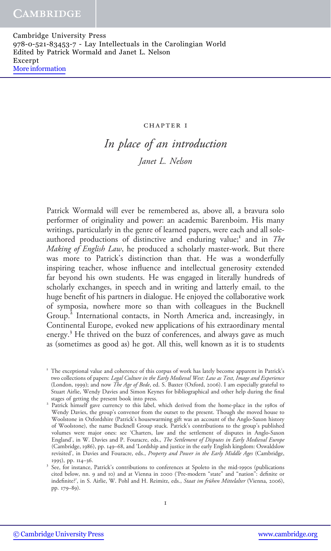#### CHAPTER I

# In place of an introduction Janet L. Nelson

Patrick Wormald will ever be remembered as, above all, a bravura solo performer of originality and power: an academic Barenboim. His many writings, particularly in the genre of learned papers, were each and all soleauthored productions of distinctive and enduring value;<sup>1</sup> and in The Making of English Law, he produced a scholarly master-work. But there was more to Patrick's distinction than that. He was a wonderfully inspiring teacher, whose influence and intellectual generosity extended far beyond his own students. He was engaged in literally hundreds of scholarly exchanges, in speech and in writing and latterly email, to the huge benefit of his partners in dialogue. He enjoyed the collaborative work of symposia, nowhere more so than with colleagues in the Bucknell Group.<sup>2</sup> International contacts, in North America and, increasingly, in Continental Europe, evoked new applications of his extraordinary mental energy.<sup>3</sup> He thrived on the buzz of conferences, and always gave as much as (sometimes as good as) he got. All this, well known as it is to students

<sup>&</sup>lt;sup>1</sup> The exceptional value and coherence of this corpus of work has lately become apparent in Patrick's two collections of papers: Legal Culture in the Early Medieval West: Law as Text, Image and Experience (London, 1999); and now The Age of Bede, ed. S. Baxter (Oxford, 2006). I am especially grateful to Stuart Airlie, Wendy Davies and Simon Keynes for bibliographical and other help during the final

<sup>&</sup>lt;sup>2</sup> Patrick himself gave currency to this label, which derived from the home-place in the 1980s of Wendy Davies, the group's convenor from the outset to the present. Though she moved house to Woolstone in Oxfordshire (Patrick's housewarming gift was an account of the Anglo-Saxon history of Woolstone), the name Bucknell Group stuck. Patrick's contributions to the group's published volumes were major ones: see 'Charters, law and the settlement of disputes in Anglo-Saxon England', in W. Davies and P. Fouracre, eds., The Settlement of Disputes in Early Medieval Europe (Cambridge, 1986), pp. 149–68, and 'Lordship and justice in the early English kingdom: Oswaldslow revisited', in Davies and Fouracre, eds., Property and Power in the Early Middle Ages (Cambridge,

<sup>1995),</sup> pp. 114–36.<br><sup>3</sup> See, for instance, Patrick's contributions to conferences at Spoleto in the mid-1990s (publications cited below, nn. 9 and 10) and at Vienna in 2000 ('Pre-modern "state" and "nation": definite or indefinite?', in S. Airlie, W. Pohl and H. Reimitz, eds., Staat im frühen Mittelalter (Vienna, 2006), pp. 179–89).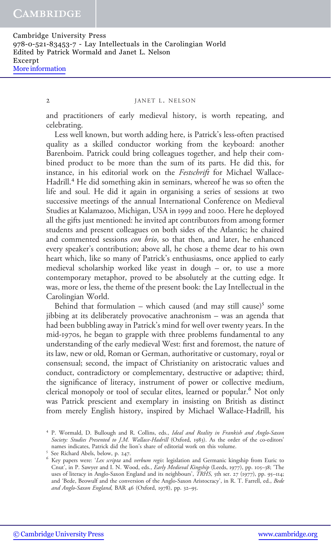#### 2 JANET L. NELSON

and practitioners of early medieval history, is worth repeating, and celebrating.

Less well known, but worth adding here, is Patrick's less-often practised quality as a skilled conductor working from the keyboard: another Barenboim. Patrick could bring colleagues together, and help their combined product to be more than the sum of its parts. He did this, for instance, in his editorial work on the Festschrift for Michael Wallace-Hadrill.<sup>4</sup> He did something akin in seminars, whereof he was so often the life and soul. He did it again in organising a series of sessions at two successive meetings of the annual International Conference on Medieval Studies at Kalamazoo, Michigan, USA in 1999 and 2000. Here he deployed all the gifts just mentioned: he invited apt contributors from among former students and present colleagues on both sides of the Atlantic; he chaired and commented sessions *con brio*, so that then, and later, he enhanced every speaker's contribution; above all, he chose a theme dear to his own heart which, like so many of Patrick's enthusiasms, once applied to early medieval scholarship worked like yeast in dough – or, to use a more contemporary metaphor, proved to be absolutely at the cutting edge. It was, more or less, the theme of the present book: the Lay Intellectual in the Carolingian World.

Behind that formulation – which caused (and may still cause)<sup>5</sup> some jibbing at its deliberately provocative anachronism – was an agenda that had been bubbling away in Patrick's mind for well over twenty years. In the mid-1970s, he began to grapple with three problems fundamental to any understanding of the early medieval West: first and foremost, the nature of its law, new or old, Roman or German, authoritative or customary, royal or consensual; second, the impact of Christianity on aristocratic values and conduct, contradictory or complementary, destructive or adaptive; third, the significance of literacy, instrument of power or collective medium, clerical monopoly or tool of secular elites, learned or popular.<sup>6</sup> Not only was Patrick prescient and exemplary in insisting on British as distinct from merely English history, inspired by Michael Wallace-Hadrill, his

<sup>&</sup>lt;sup>4</sup> P. Wormald, D. Bullough and R. Collins, eds., Ideal and Reality in Frankish and Anglo-Saxon Society: Studies Presented to J.M. Wallace-Hadrill (Oxford, 1983). As the order of the co-editors' names indicates, Patrick did the lion's share of editorial work on this volume.<br>
<sup>5</sup> See Richard Abels, below, p. 247. 6<br>
<sup>6</sup> Key papers were: '*Lex scripta* and *verbum regis*: legislation and Germanic kingship from Euri

Cnut', in P. Sawyer and I. N. Wood, eds., Early Medieval Kingship (Leeds, 1977), pp. 105-38; 'The uses of literacy in Anglo-Saxon England and its neighbours', TRHS, 5th ser. 27 (1977), pp. 95-114; and 'Bede, Beowulf and the conversion of the Anglo-Saxon Aristocracy', in R. T. Farrell, ed., Bede and Anglo-Saxon England, BAR 46 (Oxford, 1978), pp. 32–95.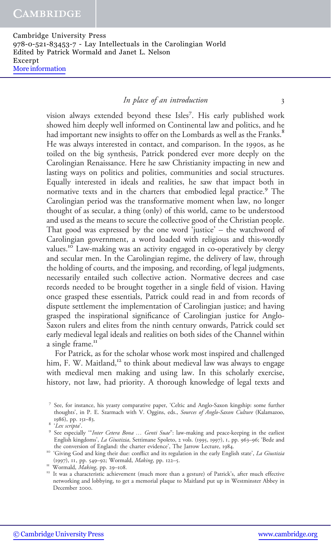# In place of an introduction 3

vision always extended beyond these Isles<sup>7</sup>. His early published work showed him deeply well informed on Continental law and politics, and he had important new insights to offer on the Lombards as well as the Franks.<sup>8</sup> He was always interested in contact, and comparison. In the 1990s, as he toiled on the big synthesis, Patrick pondered ever more deeply on the Carolingian Renaissance. Here he saw Christianity impacting in new and lasting ways on politics and polities, communities and social structures. Equally interested in ideals and realities, he saw that impact both in normative texts and in the charters that embodied legal practice.<sup>9</sup> The Carolingian period was the transformative moment when law, no longer thought of as secular, a thing (only) of this world, came to be understood and used as the means to secure the collective good of the Christian people. That good was expressed by the one word 'justice' – the watchword of Carolingian government, a word loaded with religious and this-wordly values.<sup>10</sup> Law-making was an activity engaged in co-operatively by clergy and secular men. In the Carolingian regime, the delivery of law, through the holding of courts, and the imposing, and recording, of legal judgments, necessarily entailed such collective action. Normative decrees and case records needed to be brought together in a single field of vision. Having once grasped these essentials, Patrick could read in and from records of dispute settlement the implementation of Carolingian justice; and having grasped the inspirational significance of Carolingian justice for Anglo-Saxon rulers and elites from the ninth century onwards, Patrick could set early medieval legal ideals and realities on both sides of the Channel within a single frame.<sup>11</sup>

For Patrick, as for the scholar whose work most inspired and challenged him, F. W. Maitland,<sup>12</sup> to think about medieval law was always to engage with medieval men making and using law. In this scholarly exercise, history, not law, had priority. A thorough knowledge of legal texts and

<sup>7</sup> See, for instance, his yeasty comparative paper, 'Celticand Anglo-Saxon kingship: some further thoughts', in P. E. Szarmach with V. Oggins, eds., *Sources of Anglo-Saxon Culture* (Kalamazoo, 1986), pp. 151–83.<br><sup>8</sup> '*Lex scripta*'. 1986), pp. 151–83.<br><sup>8</sup> '*Lex scripta*'.<br><sup>9</sup> See especially "*Inter Cetera Bona ... Genti Suae*": law-making and peace-keeping in the earliest

English kingdoms', La Giustizia, Settimane Spoleto, 2 vols. (1995, 1997), 1, pp. 963-96; 'Bede and

the conversion of England: the charter evidence', The Jarrow Lecture, 1984.<br><sup>10</sup> 'Giving God and king their due: conflict and its regulation in the early English state', *La Giustizia*<br>(1997), 11, pp. 549–92; Wormald, *Mak* 

<sup>&</sup>lt;sup>11</sup> Wormald, *Making*, pp. 29–108. <sup>11</sup> Wormald, *Making*, pp. 29–108. 12 It was a characteristic achievement (much more than a gesture) of Patrick's, after much effective networking and lobbying, to get a memorial plaque to Maitland put up in Westminster Abbey in December 2000.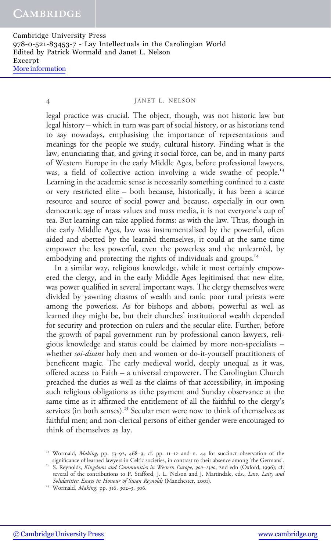#### 4 JANET L. NELSON

legal practice was crucial. The object, though, was not historic law but legal history – which in turn was part of social history, or as historians tend to say nowadays, emphasising the importance of representations and meanings for the people we study, cultural history. Finding what is the law, enunciating that, and giving it social force, can be, and in many parts of Western Europe in the early Middle Ages, before professional lawyers, was, a field of collective action involving a wide swathe of people.<sup>13</sup> Learning in the academic sense is necessarily something confined to a caste or very restricted elite – both because, historically, it has been a scarce resource and source of social power and because, especially in our own democratic age of mass values and mass media, it is not everyone's cup of tea. But learning can take applied forms: as with the law. Thus, though in the early Middle Ages, law was instrumentalised by the powerful, often aided and abetted by the learnèd themselves, it could at the same time empower the less powerful, even the powerless and the unlearnèd, by embodying and protecting the rights of individuals and groups.<sup>14</sup>

In a similar way, religious knowledge, while it most certainly empowered the clergy, and in the early Middle Ages legitimised that new elite, was power qualified in several important ways. The clergy themselves were divided by yawning chasms of wealth and rank: poor rural priests were among the powerless. As for bishops and abbots, powerful as well as learned they might be, but their churches' institutional wealth depended for security and protection on rulers and the secular elite. Further, before the growth of papal government run by professional canon lawyers, religious knowledge and status could be claimed by more non-specialists – whether *soi-disant* holy men and women or do-it-yourself practitioners of beneficent magic. The early medieval world, deeply unequal as it was, offered access to Faith – a universal empowerer. The Carolingian Church preached the duties as well as the claims of that accessibility, in imposing such religious obligations as tithe payment and Sunday observance at the same time as it affirmed the entitlement of all the faithful to the clergy's services (in both senses).<sup>15</sup> Secular men were now to think of themselves as faithful men; and non-clerical persons of either gender were encouraged to think of themselves as lay.

[© Cambridge University Press](http://www.cambridge.org) [www.cambridge.org](http://www.cambridge.org)

<sup>&</sup>lt;sup>13</sup> Wormald, *Making*, pp. 53–92, 468–9; cf. pp. 11–12 and n. 44 for succinct observation of the significance of learned lawyers in Celtic societies, in contrast to their absence among 'the Germans'.

 $14\,$  S. Reynolds, *Kingdoms and Communities in Western Europe, 900–1300*, 2nd edn (Oxford, 1996); cf. several of the contributions to P. Stafford, J. L. Nelson and J. Martindale, eds., Law, Laity and Solidarities: Essays in Honour of Susan Reynolds (Manchester, 2001).<br><sup>15</sup> Wormald, *Making*, pp. 316, 302–3, 306.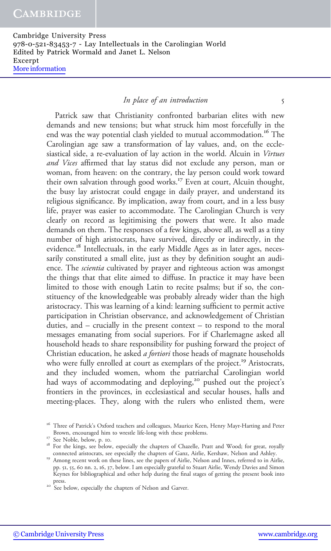## In place of an introduction 5

Patrick saw that Christianity confronted barbarian elites with new demands and new tensions; but what struck him most forcefully in the end was the way potential clash yielded to mutual accommodation.<sup>16</sup> The Carolingian age saw a transformation of lay values, and, on the ecclesiastical side, a re-evaluation of lay action in the world. Alcuin in Virtues and Vices affirmed that lay status did not exclude any person, man or woman, from heaven: on the contrary, the lay person could work toward their own salvation through good works.<sup>17</sup> Even at court, Alcuin thought, the busy lay aristocrat could engage in daily prayer, and understand its religious significance. By implication, away from court, and in a less busy life, prayer was easier to accommodate. The Carolingian Church is very clearly on record as legitimising the powers that were. It also made demands on them. The responses of a few kings, above all, as well as a tiny number of high aristocrats, have survived, directly or indirectly, in the evidence.<sup>18</sup> Intellectuals, in the early Middle Ages as in later ages, necessarily constituted a small elite, just as they by definition sought an audience. The scientia cultivated by prayer and righteous action was amongst the things that that elite aimed to diffuse. In practice it may have been limited to those with enough Latin to recite psalms; but if so, the constituency of the knowledgeable was probably already wider than the high aristocracy. This was learning of a kind: learning sufficient to permit active participation in Christian observance, and acknowledgement of Christian duties, and – crucially in the present context – to respond to the moral messages emanating from social superiors. For if Charlemagne asked all household heads to share responsibility for pushing forward the project of Christian education, he asked *a fortiori* those heads of magnate households who were fully enrolled at court as exemplars of the project.<sup>19</sup> Aristocrats, and they included women, whom the patriarchal Carolingian world had ways of accommodating and deploying,<sup>20</sup> pushed out the project's frontiers in the provinces, in ecclesiastical and secular houses, halls and meeting-places. They, along with the rulers who enlisted them, were

<sup>&</sup>lt;sup>16</sup> Three of Patrick's Oxford teachers and colleagues, Maurice Keen, Henry Mayr-Harting and Peter

Brown, encouraged him to wrestle life-long with these problems.<br><sup>17</sup> See Noble, below, p. 10.<br><sup>18</sup> For the kings, see below, especially the chapters of Chazelle, Pratt and Wood; for great, royally<br>connected aristocrats, se

<sup>&</sup>lt;sup>19</sup> Among recent work on these lines, see the papers of Airlie, Nelson and Innes, referred to in Airlie, pp. 51, 55, 60 nn. 2, 16, 37, below. I am especially grateful to Stuart Airlie, Wendy Davies and Simon Keynes for bibliographical and other help during the final stages of getting the present book into press.<br><sup>20</sup> See below, especially the chapters of Nelson and Garver.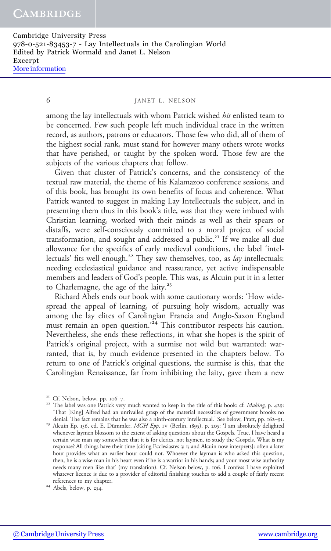## 6 JANET L. NELSON

among the lay intellectuals with whom Patrick wished *his* enlisted team to be concerned. Few such people left much individual trace in the written record, as authors, patrons or educators. Those few who did, all of them of the highest social rank, must stand for however many others wrote works that have perished, or taught by the spoken word. Those few are the subjects of the various chapters that follow.

Given that cluster of Patrick's concerns, and the consistency of the textual raw material, the theme of his Kalamazoo conference sessions, and of this book, has brought its own benefits of focus and coherence. What Patrick wanted to suggest in making Lay Intellectuals the subject, and in presenting them thus in this book's title, was that they were imbued with Christian learning, worked with their minds as well as their spears or distaffs, were self-consciously committed to a moral project of social transformation, and sought and addressed a public.<sup>21</sup> If we make all due allowance for the specifics of early medieval conditions, the label 'intellectuals' fits well enough.<sup>22</sup> They saw themselves, too, as  $\ell$ ay intellectuals: needing ecclesiastical guidance and reassurance, yet active indispensable members and leaders of God's people. This was, as Alcuin put it in a letter to Charlemagne, the age of the laity.<sup>23</sup>

Richard Abels ends our book with some cautionary words: 'How widespread the appeal of learning, of pursuing holy wisdom, actually was among the lay elites of Carolingian Francia and Anglo-Saxon England must remain an open question.<sup>224</sup> This contributor respects his caution. Nevertheless, she ends these reflections, in what she hopes is the spirit of Patrick's original project, with a surmise not wild but warranted: warranted, that is, by much evidence presented in the chapters below. To return to one of Patrick's original questions, the surmise is this, that the Carolingian Renaissance, far from inhibiting the laity, gave them a new

<sup>&</sup>lt;sup>21</sup> Cf. Nelson, below, pp. 106–7.<br><sup>22</sup> The label was one Patrick very much wanted to keep in the title of this book: cf. *Making*, p. 429: 'That [King] Alfred had an unrivalled grasp of the material necessities of government brooks no

<sup>&</sup>lt;sup>23</sup> Alcuin Ep. 136, ed. E. Dümmler, MGH Epp. 1v (Berlin, 1895), p. 205: 'I am absolutely delighted whenever laymen blossom to the extent of asking questions about the Gospels. True, I have heard a certain wise man say somewhere that it is for clerics, not laymen, to study the Gospels. What is my response? All things have their time [citing Ecclesiastes 3: 1; and Alcuin now interprets]: often a later hour provides what an earlier hour could not. Whoever the layman is who asked this question, then, he is a wise man in his heart even if he is a warrior in his hands; and your most wise authority needs many men like that' (my translation). Cf. Nelson below, p. 106. I confess I have exploited whatever licence is due to a provider of editorial finishing touches to add a couple of fairly recent references to my chapter.

 $24$  Abels, below, p. 254.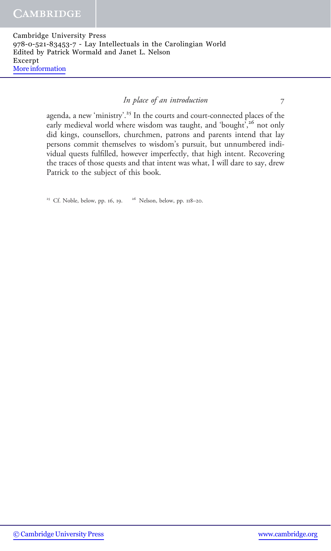## In place of an introduction 7

agenda, a new 'ministry'. <sup>25</sup> In the courts and court-connected places of the early medieval world where wisdom was taught, and 'bought',<sup>26</sup> not only did kings, counsellors, churchmen, patrons and parents intend that lay persons commit themselves to wisdom's pursuit, but unnumbered individual quests fulfilled, however imperfectly, that high intent. Recovering the traces of those quests and that intent was what, I will dare to say, drew Patrick to the subject of this book.

<sup>25</sup> Cf. Noble, below, pp. 16, 19.  $26$  Nelson, below, pp. 118–20.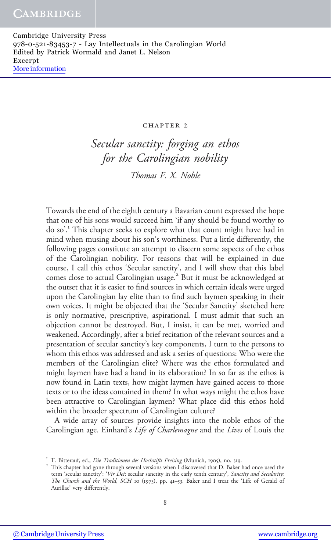#### CHAPTER 2

Secular sanctity: forging an ethos for the Carolingian nobility

Thomas F. X. Noble

Towards the end of the eighth century a Bavarian count expressed the hope that one of his sons would succeed him 'if any should be found worthy to do so'. <sup>1</sup> This chapter seeks to explore what that count might have had in mind when musing about his son's worthiness. Put a little differently, the following pages constitute an attempt to discern some aspects of the ethos of the Carolingian nobility. For reasons that will be explained in due course, I call this ethos 'Secular sanctity', and I will show that this label comes close to actual Carolingian usage.<sup>2</sup> But it must be acknowledged at the outset that it is easier to find sources in which certain ideals were urged upon the Carolingian lay elite than to find such laymen speaking in their own voices. It might be objected that the 'Secular Sanctity' sketched here is only normative, prescriptive, aspirational. I must admit that such an objection cannot be destroyed. But, I insist, it can be met, worried and weakened. Accordingly, after a brief recitation of the relevant sources and a presentation of secular sanctity's key components, I turn to the persons to whom this ethos was addressed and ask a series of questions: Who were the members of the Carolingian elite? Where was the ethos formulated and might laymen have had a hand in its elaboration? In so far as the ethos is now found in Latin texts, how might laymen have gained access to those texts or to the ideas contained in them? In what ways might the ethos have been attractive to Carolingian laymen? What place did this ethos hold within the broader spectrum of Carolingian culture?

A wide array of sources provide insights into the noble ethos of the Carolingian age. Einhard's Life of Charlemagne and the Lives of Louis the

<sup>&</sup>lt;sup>1</sup> T. Bitterauf, ed., *Die Traditionen des Hochstifts Freising* (Munich, 1905), no. 319.<br><sup>2</sup> This chapter had gone through several versions when I discovered that D. Baker had once used the term 'secular sanctity': 'Vir Dei: secular sanctity in the early tenth century', Sanctity and Secularity: The Church and the World, SCH 10 (1973), pp. 41-53. Baker and I treat the 'Life of Gerald of Aurillac' very differently.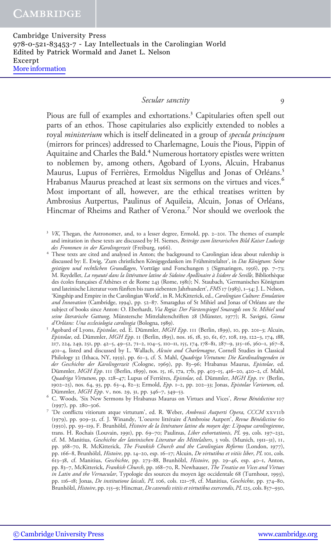# Secular sanctity 9

Pious are full of examples and exhortations.<sup>3</sup> Capitularies often spell out parts of an ethos. Those capitularies also explicitly extended to nobles a royal *ministerium* which is itself delineated in a group of *specula principum* (mirrors for princes) addressed to Charlemagne, Louis the Pious, Pippin of Aquitaine and Charles the Bald.<sup>4</sup> Numerous hortatory epistles were written to noblemen by, among others, Agobard of Lyons, Alcuin, Hrabanus Maurus, Lupus of Ferrières, Ermoldus Nigellus and Jonas of Orléans.<sup>5</sup> Hrabanus Maurus preached at least six sermons on the virtues and vices.<sup>6</sup> Most important of all, however, are the ethical treatises written by Ambrosius Autpertus, Paulinus of Aquileia, Alcuin, Jonas of Orléans, Hincmar of Rheims and Rather of Verona.<sup>7</sup> Nor should we overlook the

- <sup>3</sup> VK, Thegan, the Astronomer, and, to a lesser degree, Ermold, pp. 2-201. The themes of example and imitation in these texts are discussed by H. Siemes, Beiträge zum literarischen Bild Kaiser Ludwigs
- des Frommen in der Karolingerzeit (Freiburg, 1966). 4 These texts are cited and analysed in Anton; the background to Carolingian ideas about rulership is discussed by: E. Ewig, 'Zum christlichen Königsgedanken im Frühmittelalter', in Das Königtum: Seine geistigen und rechtlichen Grundlagen, Vorträge und Forschungen 3 (Sigmaringen, 1956), pp. 7-73; M. Reydellet, La royauté dans la littérature latine de Sidoine Apollinaire à Isidore de Seville, Bibliothèque des écoles françaises d'Athènes et de Rome 243 (Rome, 1981); N. Staubach, 'Germanisches Königtum und lateinische Literatur vom fünften bis zum siebenten Jahrhundert', FMS 17 (1983), 1–54; J. L. Nelson, 'Kingship and Empire in the Carolingian World', in R. McKitterick, ed., Carolingian Culture: Emulation and Innovation (Cambridge, 1994), pp. 52–87. Smaragdus of St Mihiel and Jonas of Orléans are the subject of books since Anton: O. Eberhardt, Via Regia: Der Fürstenspiegel Smaragds von St. Mihiel und seine literarische Gattung, Münstersche Mittelalterschriften 28 (Münster, 1977); R. Savigni, Giona d'Orléans: Una ecclesiologia carolingia (Bologna, 1989).
- Agobard of Lyons, Epistolae, ed. E. Dümmler, MGH Epp. III (Berlin, 1899), 10, pp. 201-3; Alcuin, Epistolae, ed. Dümmler, MGH Epp. ii (Berlin, 1895), nos. 16, 18, 30, 61, 67, 108, 119, 122–3, 174, 188, 217, 224, 249, 251, pp. 42–5, 49–52, 71–2, 104–5, 110–11, 155, 174, 178–81, 287–9, 315–16, 360–1, 367–8, 401–4, listed and discussed by L. Wallach, Alcuin and Charlemagne, Cornell Studies in Classical Philology 32 (Ithaca, NY, 1959), pp. 61–3, cf. S. Mahl, Quadriga Virtutum: Die Kardinaltugenden in der Geschichte der Karolingerzeit (Cologne, 1969), pp. 83–96; Hrabanus Maurus, Epistolae, ed. Dümmler, MGH Epp. 111 (Berlin, 1899), nos. 15, 16, 17a, 17b, pp. 403-15, 416-20, 420-2, cf. Mahl, Quadriga Virtutum, pp. 128-47; Lupus of Ferrières, Epistolae, ed. Dümmler, MGH Epp. 1v (Berlin, 1902–25), nos. 64, 93, pp. 63–4, 82–3; Ermold, Epp. 1–2, pp. 202–33; Jonas, Epistolae Variorum, ed.
- Dümmler, MGH Epp. v, nos. 29, 31, pp. 346–7, 349–53.<br>
Fig. C. Woods, 'Six New Sermons by Hrabanus Maurus on Virtues and Vices', *Revue Bénédictine* 107
- (1997), pp. 280–306.<br><sup>7</sup> 'De conflictu vitiorum atque virtutum', ed. R. Weber, *Ambrosii Autperti Opera*, *CCCM* xxv11b (1979), pp. 909–31, cf. J. Winandy, 'L'oeuvre littéraire d'Ambroise Autpert', Revue Bénédictine 60 (1950), pp. 93–119, F. Brunhölzl, Histoire de la littérature latine du moyen âge: L'époque carolingienne, trans. H. Rochais (Louvain, 1991), pp. 69-70; Paulinus, Liber exhortationis, PL 99, cols. 197-232, cf. M. Manitius, Geschichte der lateinischen Literatur des Mittelalters, 3 vols. (Munich, 1911–31), ii, pp. 368–70, R. McKitterick, The Frankish Church and the Carolingian Reforms (London, 1977), pp. 166–8, Brunhölzl, Histoire, pp. 14–20, esp. 16–17; Alcuin, De virtutibus et vitiis liber, PL 101, cols. 613–38, cf. Manitius, Geschichte, pp. 273–88, Brunhölzl, Histoire, pp. 29–46, esp. 40–1, Anton, pp. 83-7, McKitterick, Frankish Church, pp. 168-70, R. Newhauser, The Treatise on Vices and Virtues in Latin and the Vernacular, Typologie des sources du moyen âge occidentale 68 (Turnhout, 1993), pp. 116–18; Jonas, *De institutione laicali*, *PL* 106, cols. 121–78, cf. Manitius, *Geschichte*, pp. 374–80, Brunhölzl, Histoire, pp. 155–9; Hincmar, De cavendis vitiis et virtutibus exercendis, PL 125, cols. 857–930,